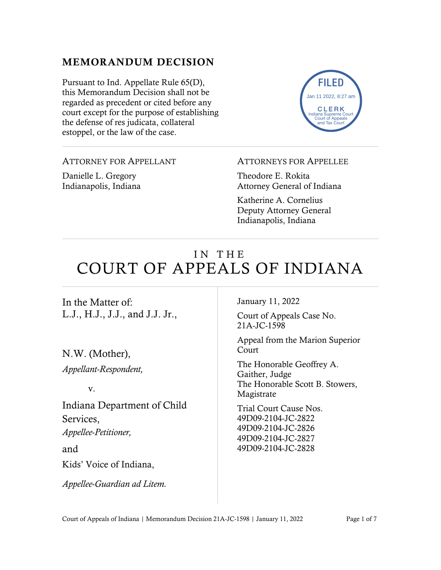### MEMORANDUM DECISION

Pursuant to Ind. Appellate Rule 65(D), this Memorandum Decision shall not be regarded as precedent or cited before any court except for the purpose of establishing the defense of res judicata, collateral estoppel, or the law of the case.



ATTORNEY FOR APPELLANT

Danielle L. Gregory Indianapolis, Indiana

#### ATTORNEYS FOR APPELLEE

Theodore E. Rokita Attorney General of Indiana

Katherine A. Cornelius Deputy Attorney General Indianapolis, Indiana

# IN THE COURT OF APPEALS OF INDIANA

In the Matter of: L.J., H.J., J.J., and J.J. Jr.,

N.W. (Mother), *Appellant-Respondent,* 

v.

Indiana Department of Child Services, *Appellee-Petitioner,*  and Kids' Voice of Indiana,

*Appellee-Guardian ad Litem.* 

January 11, 2022

Court of Appeals Case No. 21A-JC-1598

Appeal from the Marion Superior Court

The Honorable Geoffrey A. Gaither, Judge The Honorable Scott B. Stowers, Magistrate

Trial Court Cause Nos. 49D09-2104-JC-2822 49D09-2104-JC-2826 49D09-2104-JC-2827 49D09-2104-JC-2828

Court of Appeals of Indiana | Memorandum Decision 21A-JC-1598 | January 11, 2022 Page 1 of 7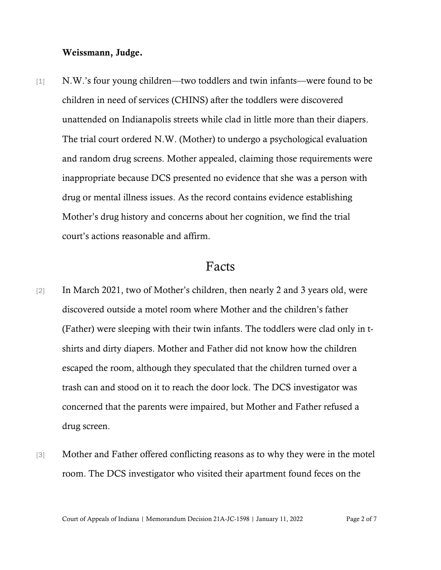#### Weissmann, Judge.

[1] N.W.'s four young children—two toddlers and twin infants—were found to be children in need of services (CHINS) after the toddlers were discovered unattended on Indianapolis streets while clad in little more than their diapers. The trial court ordered N.W. (Mother) to undergo a psychological evaluation and random drug screens. Mother appealed, claiming those requirements were inappropriate because DCS presented no evidence that she was a person with drug or mental illness issues. As the record contains evidence establishing Mother's drug history and concerns about her cognition, we find the trial court's actions reasonable and affirm.

### Facts

- [2] In March 2021, two of Mother's children, then nearly 2 and 3 years old, were discovered outside a motel room where Mother and the children's father (Father) were sleeping with their twin infants. The toddlers were clad only in tshirts and dirty diapers. Mother and Father did not know how the children escaped the room, although they speculated that the children turned over a trash can and stood on it to reach the door lock. The DCS investigator was concerned that the parents were impaired, but Mother and Father refused a drug screen.
- [3] Mother and Father offered conflicting reasons as to why they were in the motel room. The DCS investigator who visited their apartment found feces on the

Court of Appeals of Indiana | Memorandum Decision 21A-JC-1598 | January 11, 2022 Page 2 of 7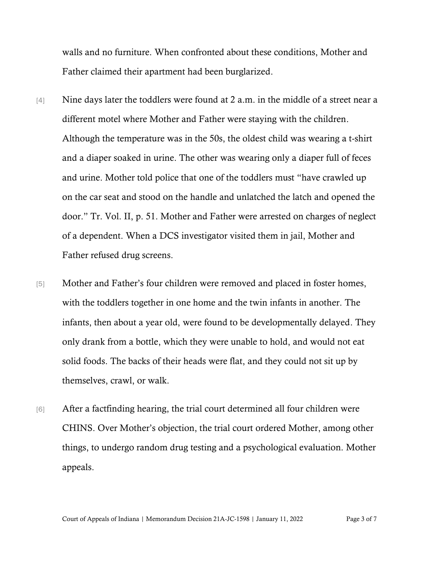walls and no furniture. When confronted about these conditions, Mother and Father claimed their apartment had been burglarized.

- [4] Nine days later the toddlers were found at 2 a.m. in the middle of a street near a different motel where Mother and Father were staying with the children. Although the temperature was in the 50s, the oldest child was wearing a t-shirt and a diaper soaked in urine. The other was wearing only a diaper full of feces and urine. Mother told police that one of the toddlers must "have crawled up on the car seat and stood on the handle and unlatched the latch and opened the door." Tr. Vol. II, p. 51. Mother and Father were arrested on charges of neglect of a dependent. When a DCS investigator visited them in jail, Mother and Father refused drug screens.
- [5] Mother and Father's four children were removed and placed in foster homes, with the toddlers together in one home and the twin infants in another. The infants, then about a year old, were found to be developmentally delayed. They only drank from a bottle, which they were unable to hold, and would not eat solid foods. The backs of their heads were flat, and they could not sit up by themselves, crawl, or walk.
- [6] After a factfinding hearing, the trial court determined all four children were CHINS. Over Mother's objection, the trial court ordered Mother, among other things, to undergo random drug testing and a psychological evaluation. Mother appeals.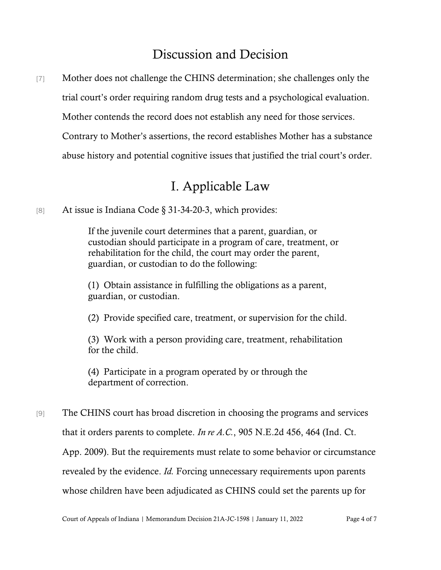## Discussion and Decision

[7] Mother does not challenge the CHINS determination; she challenges only the trial court's order requiring random drug tests and a psychological evaluation. Mother contends the record does not establish any need for those services. Contrary to Mother's assertions, the record establishes Mother has a substance abuse history and potential cognitive issues that justified the trial court's order.

# I. Applicable Law

[8] At issue is Indiana Code § 31-34-20-3, which provides:

If the juvenile court determines that a parent, guardian, or custodian should participate in a program of care, treatment, or rehabilitation for the child, the court may order the parent, guardian, or custodian to do the following:

(1) Obtain assistance in fulfilling the obligations as a parent, guardian, or custodian.

(2) Provide specified care, treatment, or supervision for the child.

(3) Work with a person providing care, treatment, rehabilitation for the child.

(4) Participate in a program operated by or through the department of correction.

[9] The CHINS court has broad discretion in choosing the programs and services that it orders parents to complete. *In re A.C.*, 905 N.E.2d 456, 464 (Ind. Ct. App. 2009). But the requirements must relate to some behavior or circumstance revealed by the evidence. *Id.* Forcing unnecessary requirements upon parents whose children have been adjudicated as CHINS could set the parents up for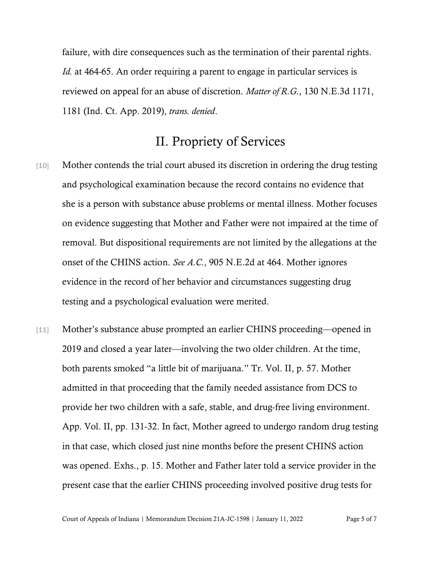failure, with dire consequences such as the termination of their parental rights. *Id.* at 464-65. An order requiring a parent to engage in particular services is reviewed on appeal for an abuse of discretion. *Matter of R.G.*, 130 N.E.3d 1171, 1181 (Ind. Ct. App. 2019), *trans. denied*.

# II. Propriety of Services

- [10] Mother contends the trial court abused its discretion in ordering the drug testing and psychological examination because the record contains no evidence that she is a person with substance abuse problems or mental illness. Mother focuses on evidence suggesting that Mother and Father were not impaired at the time of removal. But dispositional requirements are not limited by the allegations at the onset of the CHINS action. *See A.C.*, 905 N.E.2d at 464. Mother ignores evidence in the record of her behavior and circumstances suggesting drug testing and a psychological evaluation were merited.
- [11] Mother's substance abuse prompted an earlier CHINS proceeding—opened in 2019 and closed a year later—involving the two older children. At the time, both parents smoked "a little bit of marijuana." Tr. Vol. II, p. 57. Mother admitted in that proceeding that the family needed assistance from DCS to provide her two children with a safe, stable, and drug-free living environment. App. Vol. II, pp. 131-32. In fact, Mother agreed to undergo random drug testing in that case, which closed just nine months before the present CHINS action was opened. Exhs., p. 15. Mother and Father later told a service provider in the present case that the earlier CHINS proceeding involved positive drug tests for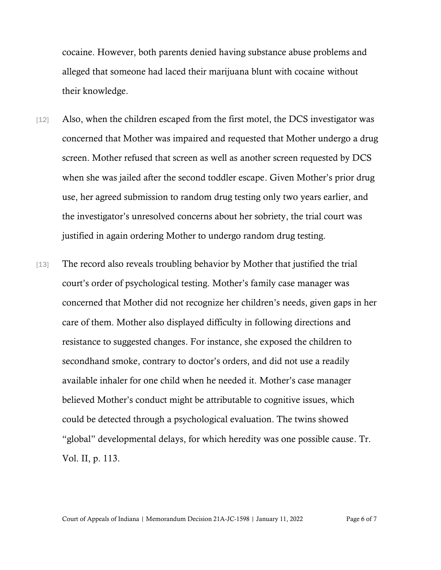cocaine. However, both parents denied having substance abuse problems and alleged that someone had laced their marijuana blunt with cocaine without their knowledge.

- [12] Also, when the children escaped from the first motel, the DCS investigator was concerned that Mother was impaired and requested that Mother undergo a drug screen. Mother refused that screen as well as another screen requested by DCS when she was jailed after the second toddler escape. Given Mother's prior drug use, her agreed submission to random drug testing only two years earlier, and the investigator's unresolved concerns about her sobriety, the trial court was justified in again ordering Mother to undergo random drug testing.
- [13] The record also reveals troubling behavior by Mother that justified the trial court's order of psychological testing. Mother's family case manager was concerned that Mother did not recognize her children's needs, given gaps in her care of them. Mother also displayed difficulty in following directions and resistance to suggested changes. For instance, she exposed the children to secondhand smoke, contrary to doctor's orders, and did not use a readily available inhaler for one child when he needed it. Mother's case manager believed Mother's conduct might be attributable to cognitive issues, which could be detected through a psychological evaluation. The twins showed "global" developmental delays, for which heredity was one possible cause. Tr. Vol. II, p. 113.